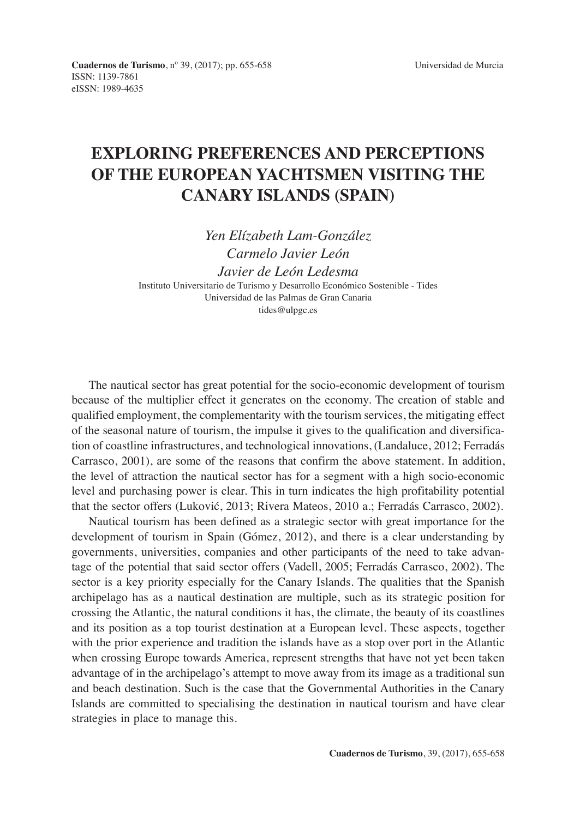## **EXPLORING PREFERENCES AND PERCEPTIONS OF THE EUROPEAN YACHTSMEN VISITING THE CANARY ISLANDS (SPAIN)**

*Yen Elízabeth Lam-González Carmelo Javier León Javier de León Ledesma*  Instituto Universitario de Turismo y Desarrollo Económico Sostenible - Tides Universidad de las Palmas de Gran Canaria tides@ulpgc.es

The nautical sector has great potential for the socio-economic development of tourism because of the multiplier effect it generates on the economy. The creation of stable and qualified employment, the complementarity with the tourism services, the mitigating effect of the seasonal nature of tourism, the impulse it gives to the qualification and diversification of coastline infrastructures, and technological innovations, (Landaluce, 2012; Ferradás Carrasco, 2001), are some of the reasons that confirm the above statement. In addition, the level of attraction the nautical sector has for a segment with a high socio-economic level and purchasing power is clear. This in turn indicates the high profitability potential that the sector offers (Luković, 2013; Rivera Mateos, 2010 a.; Ferradás Carrasco, 2002).

Nautical tourism has been defined as a strategic sector with great importance for the development of tourism in Spain (Gómez, 2012), and there is a clear understanding by governments, universities, companies and other participants of the need to take advantage of the potential that said sector offers (Vadell, 2005; Ferradás Carrasco, 2002). The sector is a key priority especially for the Canary Islands. The qualities that the Spanish archipelago has as a nautical destination are multiple, such as its strategic position for crossing the Atlantic, the natural conditions it has, the climate, the beauty of its coastlines and its position as a top tourist destination at a European level. These aspects, together with the prior experience and tradition the islands have as a stop over port in the Atlantic when crossing Europe towards America, represent strengths that have not yet been taken advantage of in the archipelago's attempt to move away from its image as a traditional sun and beach destination. Such is the case that the Governmental Authorities in the Canary Islands are committed to specialising the destination in nautical tourism and have clear strategies in place to manage this.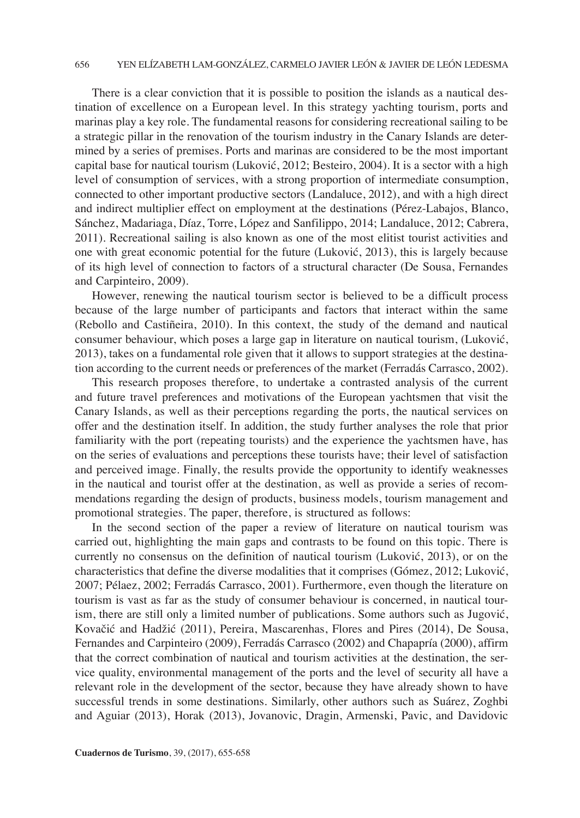## 656 YEN ELÍZABETH LAM-GONZÁLEZ, CARMELO JAVIER LEÓN & JAVIER DE LEÓN LEDESMA

There is a clear conviction that it is possible to position the islands as a nautical destination of excellence on a European level. In this strategy yachting tourism, ports and marinas play a key role. The fundamental reasons for considering recreational sailing to be a strategic pillar in the renovation of the tourism industry in the Canary Islands are determined by a series of premises. Ports and marinas are considered to be the most important capital base for nautical tourism (Luković, 2012; Besteiro, 2004). It is a sector with a high level of consumption of services, with a strong proportion of intermediate consumption, connected to other important productive sectors (Landaluce, 2012), and with a high direct and indirect multiplier effect on employment at the destinations (Pérez-Labajos, Blanco, Sánchez, Madariaga, Díaz, Torre, López and Sanfilippo, 2014; Landaluce, 2012; Cabrera, 2011). Recreational sailing is also known as one of the most elitist tourist activities and one with great economic potential for the future (Luković, 2013), this is largely because of its high level of connection to factors of a structural character (De Sousa, Fernandes and Carpinteiro, 2009).

However, renewing the nautical tourism sector is believed to be a difficult process because of the large number of participants and factors that interact within the same (Rebollo and Castiñeira, 2010). In this context, the study of the demand and nautical consumer behaviour, which poses a large gap in literature on nautical tourism, (Luković, 2013), takes on a fundamental role given that it allows to support strategies at the destination according to the current needs or preferences of the market (Ferradás Carrasco, 2002).

This research proposes therefore, to undertake a contrasted analysis of the current and future travel preferences and motivations of the European yachtsmen that visit the Canary Islands, as well as their perceptions regarding the ports, the nautical services on offer and the destination itself. In addition, the study further analyses the role that prior familiarity with the port (repeating tourists) and the experience the yachtsmen have, has on the series of evaluations and perceptions these tourists have; their level of satisfaction and perceived image. Finally, the results provide the opportunity to identify weaknesses in the nautical and tourist offer at the destination, as well as provide a series of recommendations regarding the design of products, business models, tourism management and promotional strategies. The paper, therefore, is structured as follows:

In the second section of the paper a review of literature on nautical tourism was carried out, highlighting the main gaps and contrasts to be found on this topic. There is currently no consensus on the definition of nautical tourism (Luković, 2013), or on the characteristics that define the diverse modalities that it comprises (Gómez, 2012; Luković, 2007; Pélaez, 2002; Ferradás Carrasco, 2001). Furthermore, even though the literature on tourism is vast as far as the study of consumer behaviour is concerned, in nautical tourism, there are still only a limited number of publications. Some authors such as Jugović, Kovačić and Hadžić (2011), Pereira, Mascarenhas, Flores and Pires (2014), De Sousa, Fernandes and Carpinteiro (2009), Ferradás Carrasco (2002) and Chapapría (2000), affirm that the correct combination of nautical and tourism activities at the destination, the service quality, environmental management of the ports and the level of security all have a relevant role in the development of the sector, because they have already shown to have successful trends in some destinations. Similarly, other authors such as Suárez, Zoghbi and Aguiar (2013), Horak (2013), Jovanovic, Dragin, Armenski, Pavic, and Davidovic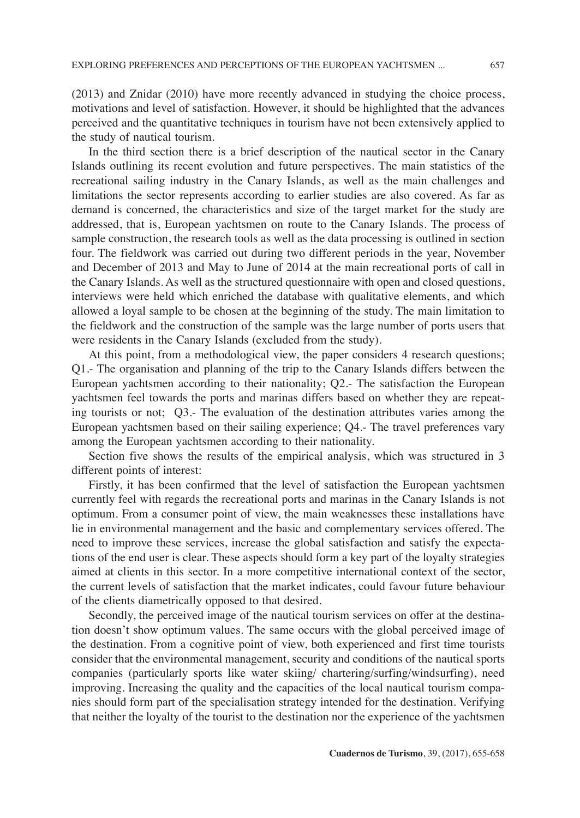(2013) and Znidar (2010) have more recently advanced in studying the choice process, motivations and level of satisfaction. However, it should be highlighted that the advances perceived and the quantitative techniques in tourism have not been extensively applied to the study of nautical tourism.

In the third section there is a brief description of the nautical sector in the Canary Islands outlining its recent evolution and future perspectives. The main statistics of the recreational sailing industry in the Canary Islands, as well as the main challenges and limitations the sector represents according to earlier studies are also covered. As far as demand is concerned, the characteristics and size of the target market for the study are addressed, that is, European yachtsmen on route to the Canary Islands. The process of sample construction, the research tools as well as the data processing is outlined in section four. The fieldwork was carried out during two different periods in the year, November and December of 2013 and May to June of 2014 at the main recreational ports of call in the Canary Islands. As well as the structured questionnaire with open and closed questions, interviews were held which enriched the database with qualitative elements, and which allowed a loyal sample to be chosen at the beginning of the study. The main limitation to the fieldwork and the construction of the sample was the large number of ports users that were residents in the Canary Islands (excluded from the study).

At this point, from a methodological view, the paper considers 4 research questions; Q1.- The organisation and planning of the trip to the Canary Islands differs between the European yachtsmen according to their nationality; Q2.- The satisfaction the European yachtsmen feel towards the ports and marinas differs based on whether they are repeating tourists or not; Q3.- The evaluation of the destination attributes varies among the European yachtsmen based on their sailing experience; Q4.- The travel preferences vary among the European yachtsmen according to their nationality.

Section five shows the results of the empirical analysis, which was structured in 3 different points of interest:

Firstly, it has been confirmed that the level of satisfaction the European yachtsmen currently feel with regards the recreational ports and marinas in the Canary Islands is not optimum. From a consumer point of view, the main weaknesses these installations have lie in environmental management and the basic and complementary services offered. The need to improve these services, increase the global satisfaction and satisfy the expectations of the end user is clear. These aspects should form a key part of the loyalty strategies aimed at clients in this sector. In a more competitive international context of the sector, the current levels of satisfaction that the market indicates, could favour future behaviour of the clients diametrically opposed to that desired.

Secondly, the perceived image of the nautical tourism services on offer at the destination doesn't show optimum values. The same occurs with the global perceived image of the destination. From a cognitive point of view, both experienced and first time tourists consider that the environmental management, security and conditions of the nautical sports companies (particularly sports like water skiing/ chartering/surfing/windsurfing), need improving. Increasing the quality and the capacities of the local nautical tourism companies should form part of the specialisation strategy intended for the destination. Verifying that neither the loyalty of the tourist to the destination nor the experience of the yachtsmen